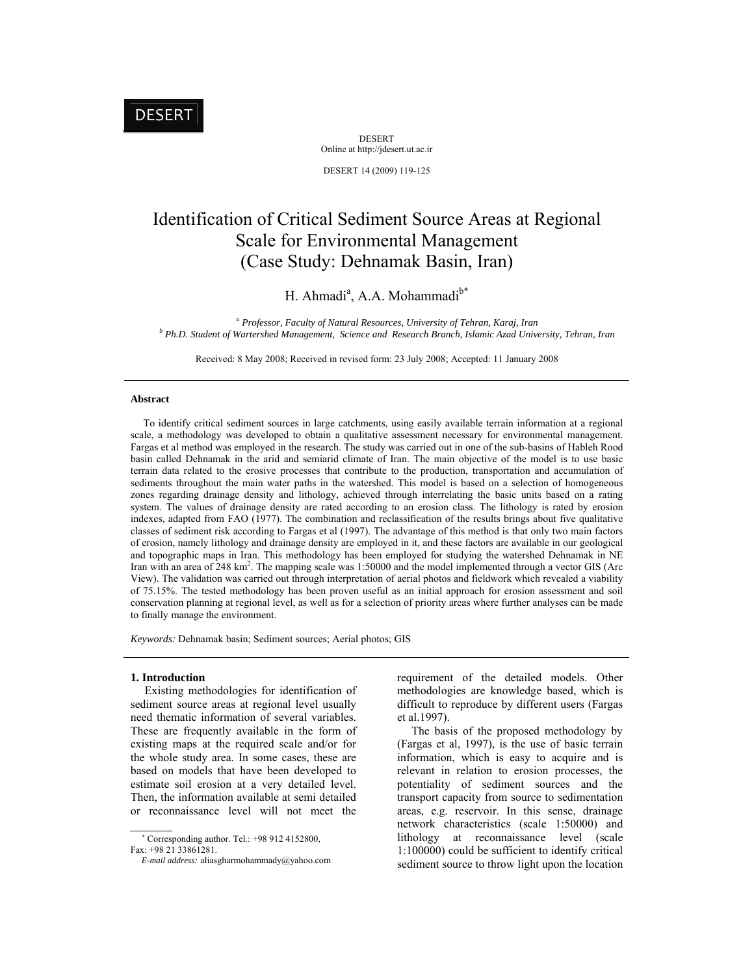# DESERT

DESERT Online at http://jdesert.ut.ac.ir

DESERT 14 (2009) 119-125

# Identification of Critical Sediment Source Areas at Regional Scale for Environmental Management (Case Study: Dehnamak Basin, Iran)

H. Ahmadi<sup>a</sup>, A.A. Mohammadi<sup>b\*</sup>

<sup>*a*</sup> *Professor, Faculty of Natural Resources, University of Tehran, Karaj, Iran b b D<sub>b</sub>* D<sub>b</sub> D<sub>b</sub> C<sub>6</sub>, *d* Mattershall Management, Sciences and Bessensh Branch Johanis Aged University  *Ph.D. Student of Wartershed Management, Science and Research Branch, Islamic Azad University, Tehran, Iran* 

Received: 8 May 2008; Received in revised form: 23 July 2008; Accepted: 11 January 2008

### **Abstract**

 To identify critical sediment sources in large catchments, using easily available terrain information at a regional scale, a methodology was developed to obtain a qualitative assessment necessary for environmental management. Fargas et al method was employed in the research. The study was carried out in one of the sub-basins of Hableh Rood basin called Dehnamak in the arid and semiarid climate of Iran. The main objective of the model is to use basic terrain data related to the erosive processes that contribute to the production, transportation and accumulation of sediments throughout the main water paths in the watershed. This model is based on a selection of homogeneous zones regarding drainage density and lithology, achieved through interrelating the basic units based on a rating system. The values of drainage density are rated according to an erosion class. The lithology is rated by erosion indexes, adapted from FAO (1977). The combination and reclassification of the results brings about five qualitative classes of sediment risk according to Fargas et al (1997). The advantage of this method is that only two main factors of erosion, namely lithology and drainage density are employed in it, and these factors are available in our geological and topographic maps in Iran. This methodology has been employed for studying the watershed Dehnamak in NE Iran with an area of 248 km<sup>2</sup>. The mapping scale was 1:50000 and the model implemented through a vector GIS (Arc View). The validation was carried out through interpretation of aerial photos and fieldwork which revealed a viability of 75.15%. The tested methodology has been proven useful as an initial approach for erosion assessment and soil conservation planning at regional level, as well as for a selection of priority areas where further analyses can be made to finally manage the environment.

*Keywords:* Dehnamak basin; Sediment sources; Aerial photos; GIS

### **1. Introduction**

 Existing methodologies for identification of sediment source areas at regional level usually need thematic information of several variables. These are frequently available in the form of existing maps at the required scale and/or for the whole study area. In some cases, these are based on models that have been developed to estimate soil erosion at a very detailed level. Then, the information available at semi detailed or reconnaissance level will not meet the

 Corresponding author. Tel.: +98 912 4152800, Fax: +98 21 33861281.

requirement of the detailed models. Other methodologies are knowledge based, which is difficult to reproduce by different users (Fargas et al.1997).

 The basis of the proposed methodology by (Fargas et al, 1997), is the use of basic terrain information, which is easy to acquire and is relevant in relation to erosion processes, the potentiality of sediment sources and the transport capacity from source to sedimentation areas, e.g. reservoir. In this sense, drainage network characteristics (scale 1:50000) and lithology at reconnaissance level (scale 1:100000) could be sufficient to identify critical sediment source to throw light upon the location

*E-mail address:* aliasgharmohammady@yahoo.com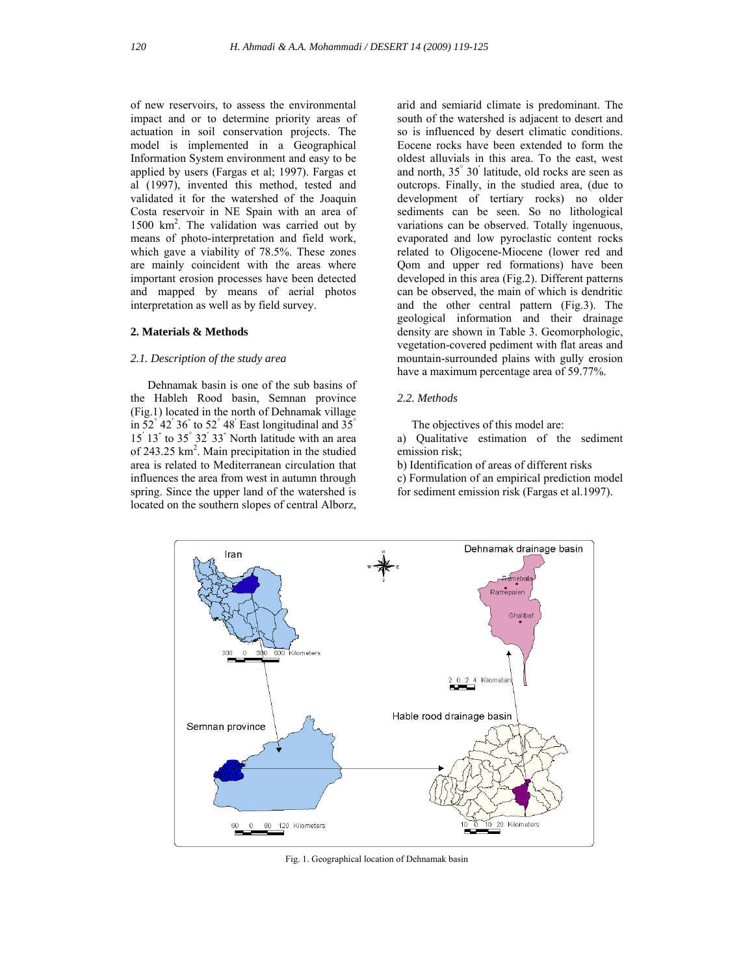of new reservoirs, to assess the environmental impact and or to determine priority areas of actuation in soil conservation projects. The model is implemented in a Geographical Information System environment and easy to be applied by users (Fargas et al; 1997). Fargas et al (1997), invented this method, tested and validated it for the watershed of the Joaquin Costa reservoir in NE Spain with an area of 1500 km2 . The validation was carried out by means of photo-interpretation and field work, which gave a viability of 78.5%. These zones are mainly coincident with the areas where important erosion processes have been detected and mapped by means of aerial photos interpretation as well as by field survey.

## **2. Materials & Methods**

## *2.1. Description of the study area*

 Dehnamak basin is one of the sub basins of the Hableh Rood basin, Semnan province (Fig.1) located in the north of Dehnamak village in  $52^{\degree}$  42<sup>'</sup> 36<sup>"</sup> to  $52^{\degree}$  48<sup>'</sup> East longitudinal and  $35^{\degree}$  $15'$   $13''$  to  $35°$   $32'$   $33''$  North latitude with an area of 243.25 km<sup>2</sup>. Main precipitation in the studied area is related to Mediterranean circulation that influences the area from west in autumn through spring. Since the upper land of the watershed is located on the southern slopes of central Alborz,

arid and semiarid climate is predominant. The south of the watershed is adjacent to desert and so is influenced by desert climatic conditions. Eocene rocks have been extended to form the oldest alluvials in this area. To the east, west and north, 35° 30′ latitude, old rocks are seen as outcrops. Finally, in the studied area, (due to development of tertiary rocks) no older sediments can be seen. So no lithological variations can be observed. Totally ingenuous, evaporated and low pyroclastic content rocks related to Oligocene-Miocene (lower red and Qom and upper red formations) have been developed in this area (Fig.2). Different patterns can be observed, the main of which is dendritic and the other central pattern (Fig.3). The geological information and their drainage density are shown in Table 3. Geomorphologic, vegetation-covered pediment with flat areas and mountain-surrounded plains with gully erosion have a maximum percentage area of 59.77%.

## *2.2. Methods*

The objectives of this model are:

a) Qualitative estimation of the sediment emission risk;

b) Identification of areas of different risks

c) Formulation of an empirical prediction model for sediment emission risk (Fargas et al.1997).



Fig. 1. Geographical location of Dehnamak basin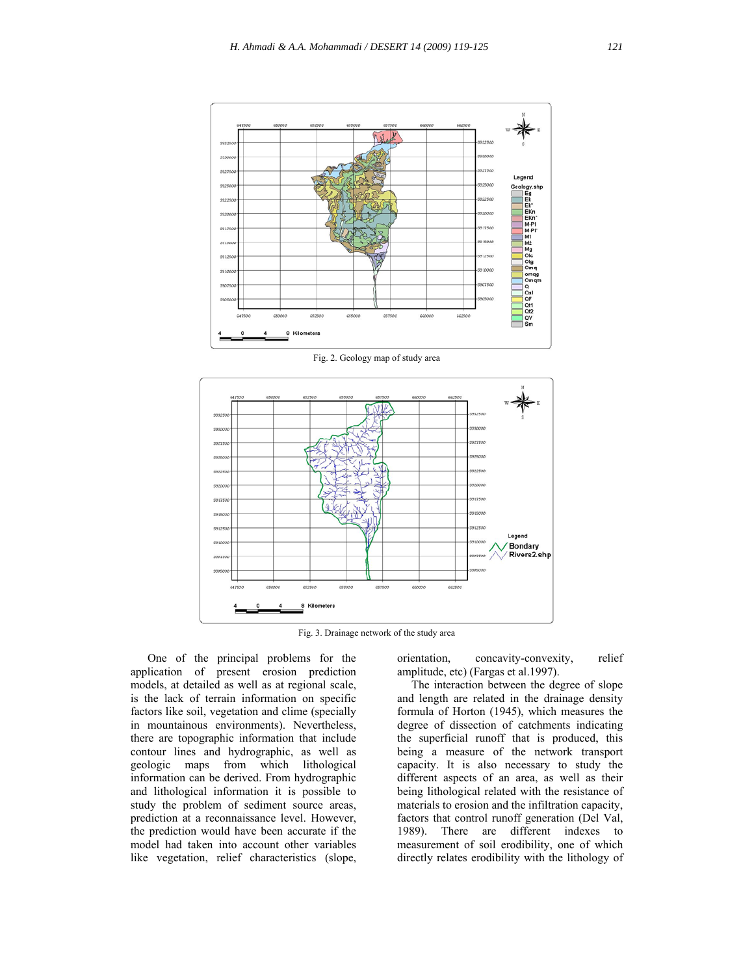

Fig. 2. Geology map of study area



Fig. 3. Drainage network of the study area

 One of the principal problems for the application of present erosion prediction models, at detailed as well as at regional scale, is the lack of terrain information on specific factors like soil, vegetation and clime (specially in mountainous environments). Nevertheless, there are topographic information that include contour lines and hydrographic, as well as geologic maps from which lithological information can be derived. From hydrographic and lithological information it is possible to study the problem of sediment source areas, prediction at a reconnaissance level. However, the prediction would have been accurate if the model had taken into account other variables like vegetation, relief characteristics (slope, orientation, concavity-convexity, relief amplitude, etc) (Fargas et al.1997).

 The interaction between the degree of slope and length are related in the drainage density formula of Horton (1945), which measures the degree of dissection of catchments indicating the superficial runoff that is produced, this being a measure of the network transport capacity. It is also necessary to study the different aspects of an area, as well as their being lithological related with the resistance of materials to erosion and the infiltration capacity, factors that control runoff generation (Del Val, 1989). There are different indexes to measurement of soil erodibility, one of which directly relates erodibility with the lithology of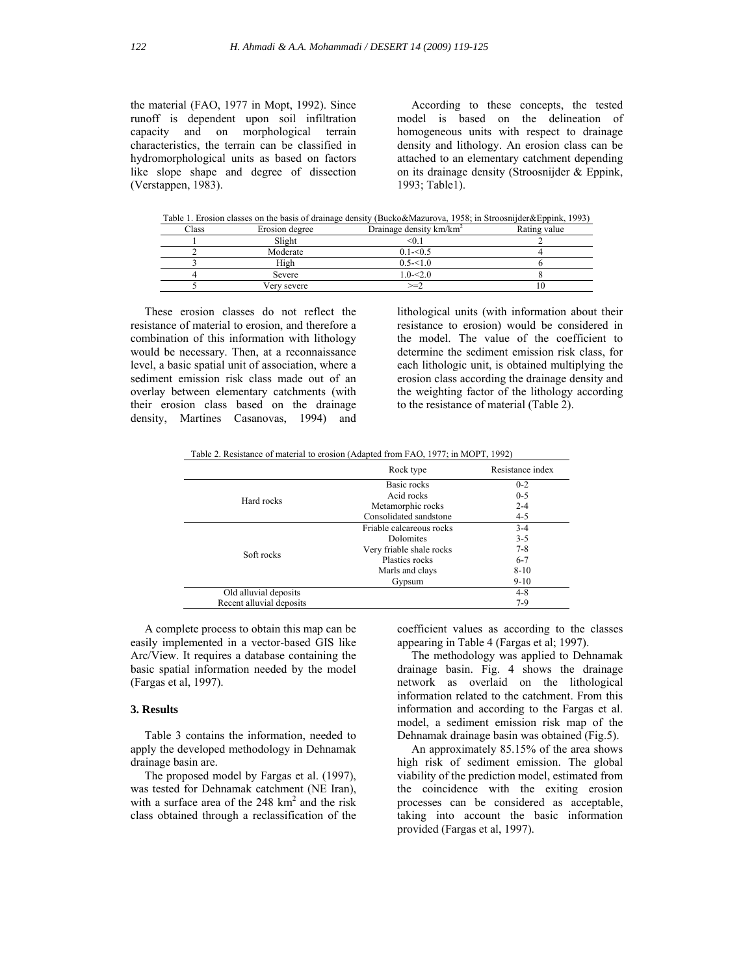the material (FAO, 1977 in Mopt, 1992). Since runoff is dependent upon soil infiltration capacity and on morphological terrain characteristics, the terrain can be classified in hydromorphological units as based on factors like slope shape and degree of dissection (Verstappen, 1983).

 According to these concepts, the tested model is based on the delineation of homogeneous units with respect to drainage density and lithology. An erosion class can be attached to an elementary catchment depending on its drainage density (Stroosnijder & Eppink, 1993; Table1).

Table 1. Erosion classes on the basis of drainage density (Bucko&Mazurova, 1958; in Stroosnijder&Eppink, 1993)

| Class | Erosion degree | Drainage density $km/km^2$ | Rating value |
|-------|----------------|----------------------------|--------------|
|       | Slight         | ≤0. I                      |              |
|       | Moderate       | $0.1 - 0.5$                |              |
|       | High           | $0.5 - 51.0$               |              |
|       | Severe         | $1.0 - 2.0$                |              |
|       | Very severe    | $\gt = 2$                  | ΙU           |

 These erosion classes do not reflect the resistance of material to erosion, and therefore a combination of this information with lithology would be necessary. Then, at a reconnaissance level, a basic spatial unit of association, where a sediment emission risk class made out of an overlay between elementary catchments (with their erosion class based on the drainage density, Martines Casanovas, 1994) and

lithological units (with information about their resistance to erosion) would be considered in the model. The value of the coefficient to determine the sediment emission risk class, for each lithologic unit, is obtained multiplying the erosion class according the drainage density and the weighting factor of the lithology according to the resistance of material (Table 2).

Table 2. Resistance of material to erosion (Adapted from FAO, 1977; in MOPT, 1992)

|                          | Rock type                | Resistance index |
|--------------------------|--------------------------|------------------|
|                          | Basic rocks              | $0 - 2$          |
|                          | Acid rocks               | $0 - 5$          |
| Hard rocks               | Metamorphic rocks        | $2 - 4$          |
|                          | Consolidated sandstone   | $4 - 5$          |
|                          | Friable calcareous rocks | $3 - 4$          |
|                          | <b>Dolomites</b>         | $3 - 5$          |
| Soft rocks               | Very friable shale rocks | $7 - 8$          |
|                          | Plastics rocks           | $6 - 7$          |
|                          | Marls and clays          | $8-10$           |
|                          | Gypsum                   | $9-10$           |
| Old alluvial deposits    |                          | $4 - 8$          |
| Recent alluvial deposits |                          | $7-9$            |

 A complete process to obtain this map can be easily implemented in a vector-based GIS like Arc/View. It requires a database containing the basic spatial information needed by the model (Fargas et al, 1997).

## **3. Results**

 Table 3 contains the information, needed to apply the developed methodology in Dehnamak drainage basin are.

 The proposed model by Fargas et al. (1997), was tested for Dehnamak catchment (NE Iran), with a surface area of the  $248 \text{ km}^2$  and the risk class obtained through a reclassification of the coefficient values as according to the classes appearing in Table 4 (Fargas et al; 1997).

 The methodology was applied to Dehnamak drainage basin. Fig. 4 shows the drainage network as overlaid on the lithological information related to the catchment. From this information and according to the Fargas et al. model, a sediment emission risk map of the Dehnamak drainage basin was obtained (Fig.5).

 An approximately 85.15% of the area shows high risk of sediment emission. The global viability of the prediction model, estimated from the coincidence with the exiting erosion processes can be considered as acceptable, taking into account the basic information provided (Fargas et al, 1997).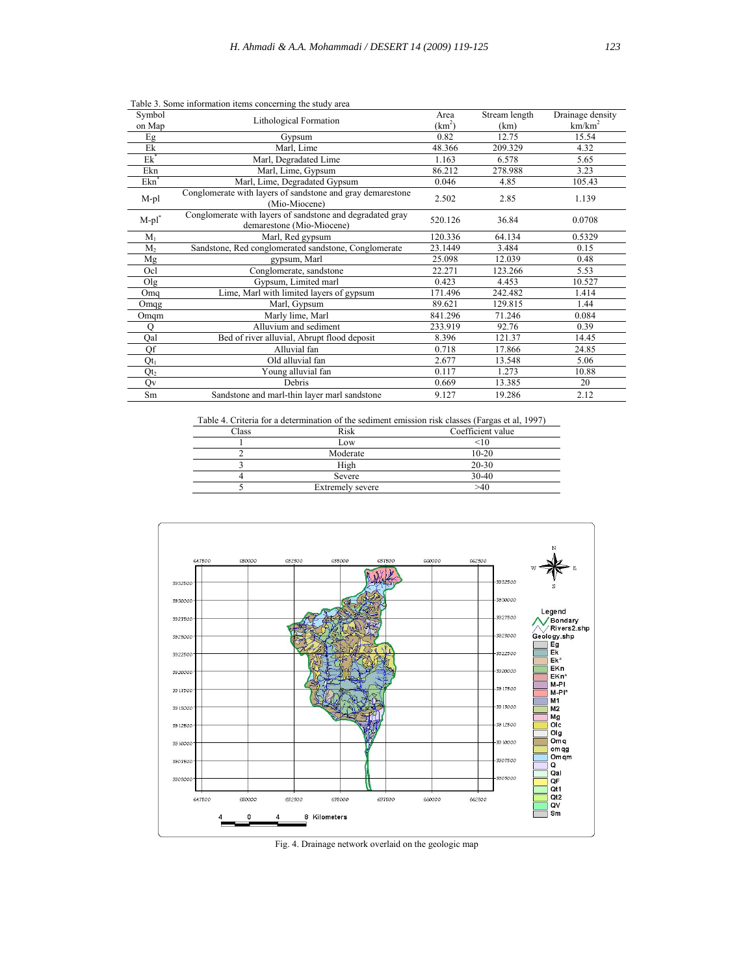| Symbol           |                                                                                        |          | Stream length | Drainage density   |
|------------------|----------------------------------------------------------------------------------------|----------|---------------|--------------------|
| on Map           | Lithological Formation                                                                 | $(km^2)$ | (km)          | km/km <sup>2</sup> |
| Eg               | Gypsum                                                                                 | 0.82     | 12.75         | 15.54              |
| Ek               | Marl, Lime                                                                             | 48.366   | 209.329       | 4.32               |
| $Ek^*$           | Marl, Degradated Lime                                                                  | 1.163    | 6.578         | 5.65               |
| Ekn              | Marl, Lime, Gypsum                                                                     | 86.212   | 278.988       | 3.23               |
| Ekn <sup>*</sup> | Marl, Lime, Degradated Gypsum                                                          | 0.046    | 4.85          | 105.43             |
| M-pl             | Conglomerate with layers of sandstone and gray demarestone<br>(Mio-Miocene)            | 2.502    | 2.85          | 1.139              |
| $M$ -pl $^*$     | Conglomerate with layers of sandstone and degradated gray<br>demarestone (Mio-Miocene) | 520.126  | 36.84         | 0.0708             |
| $M_1$            | Marl, Red gypsum                                                                       | 120.336  | 64.134        | 0.5329             |
| M <sub>2</sub>   | Sandstone, Red conglomerated sandstone, Conglomerate                                   | 23.1449  | 3.484         | 0.15               |
| Mg               | gypsum, Marl                                                                           | 25.098   | 12.039        | 0.48               |
| Ocl              | Conglomerate, sandstone                                                                | 22.271   | 123.266       | 5.53               |
| Olg              | Gypsum, Limited marl                                                                   | 0.423    | 4.453         | 10.527             |
| Omq              | Lime, Marl with limited layers of gypsum                                               | 171.496  | 242.482       | 1.414              |
| Omqg             | Marl, Gypsum                                                                           | 89.621   | 129.815       | 1.44               |
| Omqm             | Marly lime, Marl                                                                       | 841.296  | 71.246        | 0.084              |
| $\Omega$         | Alluvium and sediment                                                                  | 233.919  | 92.76         | 0.39               |
| Qal              | Bed of river alluvial, Abrupt flood deposit                                            | 8.396    | 121.37        | 14.45              |
| Qf               | Alluvial fan                                                                           | 0.718    | 17.866        | 24.85              |
| $Qt_1$           | Old alluvial fan                                                                       | 2.677    | 13.548        | 5.06               |
| Qt <sub>2</sub>  | Young alluvial fan                                                                     | 0.117    | 1.273         | 10.88              |
| Qv               | Debris                                                                                 | 0.669    | 13.385        | 20                 |
| Sm               | Sandstone and marl-thin layer marl sandstone                                           | 9.127    | 19.286        | 2.12               |

Table 3. Some information items concerning the study area

Table 4. Criteria for a determination of the sediment emission risk classes (Fargas et al, 1997)

| Class | Risk             | Coefficient value |
|-------|------------------|-------------------|
|       | Low              | $<$ 10            |
|       | Moderate         | $10 - 20$         |
|       | High             | $20 - 30$         |
|       | Severe           | 30-40             |
|       | Extremely severe | >40               |



Fig. 4. Drainage network overlaid on the geologic map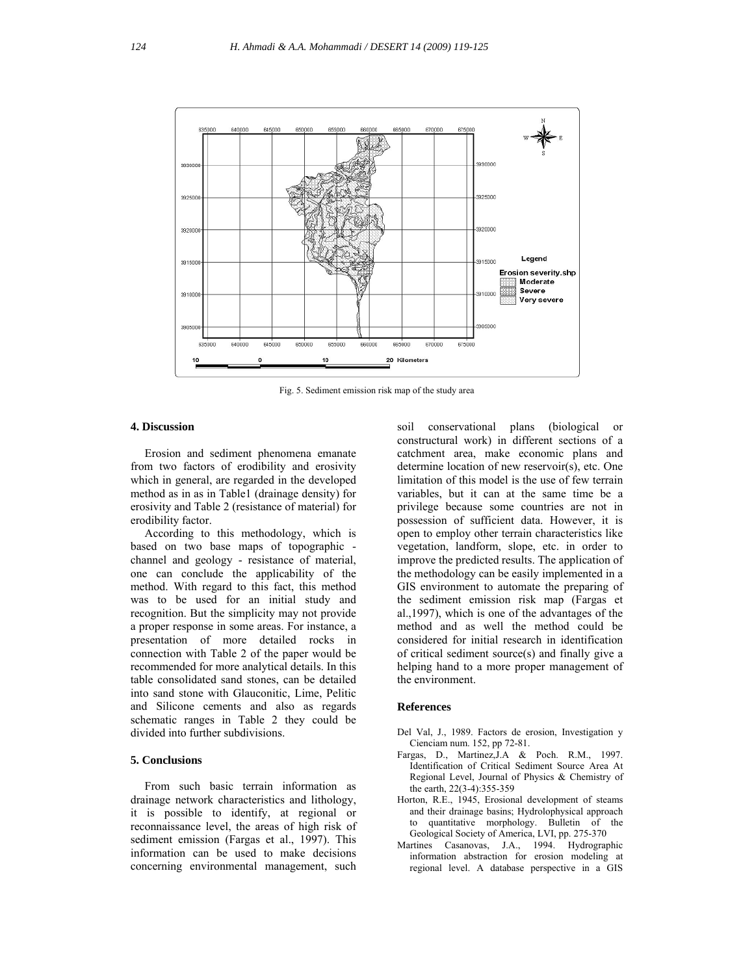

Fig. 5. Sediment emission risk map of the study area

## **4. Discussion**

 Erosion and sediment phenomena emanate from two factors of erodibility and erosivity which in general, are regarded in the developed method as in as in Table1 (drainage density) for erosivity and Table 2 (resistance of material) for erodibility factor.

 According to this methodology, which is based on two base maps of topographic channel and geology - resistance of material, one can conclude the applicability of the method. With regard to this fact, this method was to be used for an initial study and recognition. But the simplicity may not provide a proper response in some areas. For instance, a presentation of more detailed rocks in connection with Table 2 of the paper would be recommended for more analytical details. In this table consolidated sand stones, can be detailed into sand stone with Glauconitic, Lime, Pelitic and Silicone cements and also as regards schematic ranges in Table 2 they could be divided into further subdivisions.

# **5. Conclusions**

 From such basic terrain information as drainage network characteristics and lithology, it is possible to identify, at regional or reconnaissance level, the areas of high risk of sediment emission (Fargas et al., 1997). This information can be used to make decisions concerning environmental management, such soil conservational plans (biological or constructural work) in different sections of a catchment area, make economic plans and determine location of new reservoir(s), etc. One limitation of this model is the use of few terrain variables, but it can at the same time be a privilege because some countries are not in possession of sufficient data. However, it is open to employ other terrain characteristics like vegetation, landform, slope, etc. in order to improve the predicted results. The application of the methodology can be easily implemented in a GIS environment to automate the preparing of the sediment emission risk map (Fargas et al.,1997), which is one of the advantages of the method and as well the method could be considered for initial research in identification of critical sediment source(s) and finally give a helping hand to a more proper management of the environment.

#### **References**

- Del Val, J., 1989. Factors de erosion, Investigation y Cienciam num. 152, pp 72-81.
- Fargas, D., Martinez,J.A & Poch. R.M., 1997. Identification of Critical Sediment Source Area At Regional Level, Journal of Physics & Chemistry of the earth, 22(3-4):355-359
- Horton, R.E., 1945, Erosional development of steams and their drainage basins; Hydrolophysical approach to quantitative morphology. Bulletin of the Geological Society of America, LVI, pp. 275-370
- Martines Casanovas, J.A., 1994. Hydrographic information abstraction for erosion modeling at regional level. A database perspective in a GIS